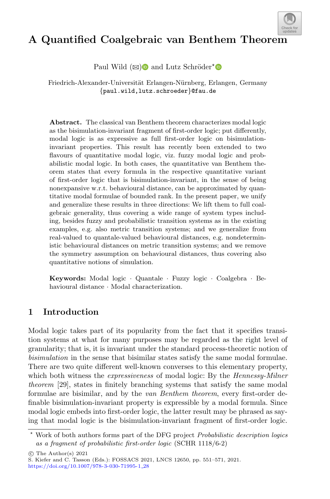

# A Quantified Coalgebraic van Benthem Theor[em](http://crossmark.crossref.org/dialog/?doi=10.1007/978-3-030-71995-1_28&domain=pdf)

Paul Wild  $(\boxtimes)$  $(\boxtimes)$  and Lutz Schröder\*

Friedrich-Alexander-Universität Erlangen-Nürnberg, Erlangen, Germany {paul.wild,lutz.schroeder}@fau.de

Abstract. The classical van Benthem theorem characterizes modal logic as the bisimulation-invariant fragment of first-order logic; put differently, modal logic is as expressive as full first-order logic on bisimulationinvariant properties. This result has recently been extended to two flavours of quantitative modal logic, viz. fuzzy modal logic and probabilistic modal logic. In both cases, the quantitative van Benthem theorem states that every formula in the respective quantitative variant of first-order logic that is bisimulation-invariant, in the sense of being nonexpansive w.r.t. behavioural distance, can be approximated by quantitative modal formulae of bounded rank. In the present paper, we unify and generalize these results in three directions: We lift them to full coalgebraic generality, thus covering a wide range of system types including, besides fuzzy and probabilistic transition systems as in the existing examples, e.g. also metric transition systems; and we generalize from real-valued to quantale-valued behavioural distances, e.g. nondeterministic behavioural distances on metric transition systems; and we remove the symmetry assumption on behavioural distances, thus covering also quantitative notions of simulation.

Keywords: Modal logic · Quantale · Fuzzy logic · Coalgebra · Behavioural distance · Modal characterization.

### 1 Introduction

Modal logic takes part of its popularity from the fact that it specifies transition systems at what for many purposes may be regarded as the right level of granularity; that is, it is invariant under the standard process-theoretic notion of bisimulation in the sense that bisimilar states satisfy the same modal formulae. There are two quite different well-known converses to this elementary property, which both witness the *expressiveness* of modal logic: By the *Hennessy-Milner* theorem [\[29\]](#page-19-0), states in finitely branching systems that satisfy the same modal formulae are bisimilar, and by the van Benthem theorem, every first-order definable bisimulation-invariant property is expressible by a modal formula. Since modal logic embeds into first-order logic, the latter result may be phrased as saying that modal logic is the bisimulation-invariant fragment of first-order logic.

<sup>?</sup> Work of both authors forms part of the DFG project Probabilistic description logics as a fragment of probabilistic first-order logic (SCHR 1118/6-2)

 $\circ$  The Author(s) 2021

S. Kiefer and C. Tasson (Eds.): FOSSACS 2021, LNCS 12650, pp. 551–571, 2021. [https://doi.org/10.1007/978-3-030-71995-1](https://doi.org/10.1007/978-3-030-71995-1_28) 28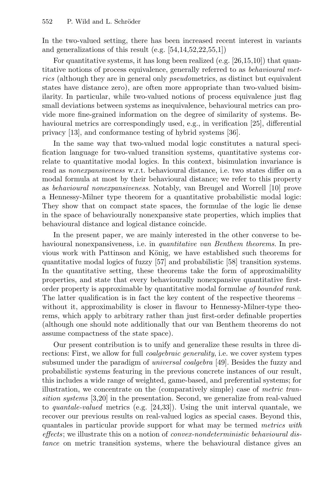In the two-valued setting, there has been increased recent interest in variants and generalizations of this result (e.g. [\[54,](#page-20-0)[14,](#page-18-0)[52,](#page-20-1)[22,](#page-19-1)[55](#page-20-2)[,1\]](#page-18-1))

For quantitative systems, it has long been realized (e.g. [\[26,](#page-19-2)[15,](#page-18-2)[10\]](#page-18-3)) that quantitative notions of process equivalence, generally referred to as behavioural metrics (although they are in general only *pseudometrics*, as distinct but equivalent states have distance zero), are often more appropriate than two-valued bisimilarity. In particular, while two-valued notions of process equivalence just flag small deviations between systems as inequivalence, behavioural metrics can provide more fine-grained information on the degree of similarity of systems. Behavioural metrics are correspondingly used, e.g., in verification [\[25\]](#page-19-3), differential privacy [\[13\]](#page-18-4), and conformance testing of hybrid systems [\[36\]](#page-19-4).

In the same way that two-valued modal logic constitutes a natural specification language for two-valued transition systems, quantitative systems correlate to quantitative modal logics. In this context, bisimulation invariance is read as nonexpansiveness w.r.t. behavioural distance, i.e. two states differ on a modal formula at most by their behavioural distance; we refer to this property as behavioural nonexpansiveness. Notably, van Breugel and Worrell [\[10\]](#page-18-3) prove a Hennessy-Milner type theorem for a quantitative probabilistic modal logic: They show that on compact state spaces, the formulae of the logic lie dense in the space of behaviourally nonexpansive state properties, which implies that behavioural distance and logical distance coincide.

In the present paper, we are mainly interested in the other converse to behavioural nonexpansiveness, i.e. in quantitative van Benthem theorems. In previous work with Pattinson and König, we have established such theorems for quantitative modal logics of fuzzy [\[57\]](#page-20-3) and probabilistic [\[58\]](#page-20-4) transition systems. In the quantitative setting, these theorems take the form of approximability properties, and state that every behaviourally nonexpansive quantitative firstorder property is approximable by quantitative modal formulae of bounded rank. The latter qualification is in fact the key content of the respective theorems – without it, approximability is closer in flavour to Hennessy-Milner-type theorems, which apply to arbitrary rather than just first-order definable properties (although one should note additionally that our van Benthem theorems do not assume compactness of the state space).

Our present contribution is to unify and generalize these results in three directions: First, we allow for full *coalgebraic generality*, i.e. we cover system types subsumed under the paradigm of universal coalgebra [\[49\]](#page-20-5). Besides the fuzzy and probabilistic systems featuring in the previous concrete instances of our result, this includes a wide range of weighted, game-based, and preferential systems; for illustration, we concentrate on the (comparatively simple) case of metric transition systems [\[3](#page-18-5)[,20\]](#page-18-6) in the presentation. Second, we generalize from real-valued to quantale-valued metrics (e.g. [\[24](#page-19-5)[,33\]](#page-19-6)). Using the unit interval quantale, we recover our previous results on real-valued logics as special cases. Beyond this, quantales in particular provide support for what may be termed metrics with effects; we illustrate this on a notion of convex-nondeterministic behavioural distance on metric transition systems, where the behavioural distance gives an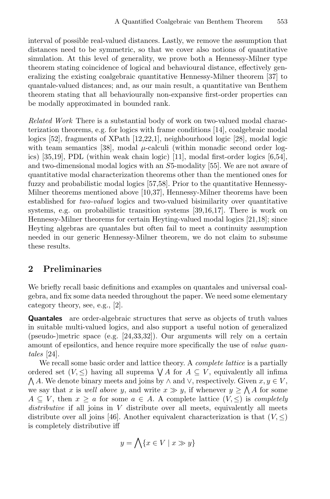interval of possible real-valued distances. Lastly, we remove the assumption that distances need to be symmetric, so that we cover also notions of quantitative simulation. At this level of generality, we prove both a Hennessy-Milner type theorem stating coincidence of logical and behavioural distance, effectively generalizing the existing coalgebraic quantitative Hennessy-Milner theorem [\[37\]](#page-19-7) to quantale-valued distances; and, as our main result, a quantitative van Benthem theorem stating that all behaviourally non-expansive first-order properties can be modally approximated in bounded rank.

Related Work There is a substantial body of work on two-valued modal characterization theorems, e.g. for logics with frame conditions [\[14\]](#page-18-0), coalgebraic modal logics [\[52\]](#page-20-1), fragments of XPath [\[12](#page-18-7)[,22,](#page-19-1)[1\]](#page-18-1), neighbourhood logic [\[28\]](#page-19-8), modal logic with team semantics [\[38\]](#page-19-9), modal  $\mu$ -calculi (within monadic second order logics) [\[35,](#page-19-10)[19\]](#page-18-8), PDL (within weak chain logic) [\[11\]](#page-18-9), modal first-order logics [\[6,](#page-18-10)[54\]](#page-20-0), and two-dimensional modal logics with an S5-modality [\[55\]](#page-20-2). We are not aware of quantitative modal characterization theorems other than the mentioned ones for fuzzy and probabilistic modal logics [\[57](#page-20-3)[,58\]](#page-20-4). Prior to the quantitative Hennessy-Milner theorems mentioned above [\[10,](#page-18-3)[37\]](#page-19-7), Hennessy-Milner theorems have been established for two-valued logics and two-valued bisimilarity over quantitative systems, e.g. on probabilistic transition systems [\[39,](#page-19-11)[16](#page-18-11)[,17\]](#page-18-12). There is work on Hennessy-Milner theorems for certain Heyting-valued modal logics [\[21,](#page-18-13)[18\]](#page-18-14); since Heyting algebras are quantales but often fail to meet a continuity assumption needed in our generic Hennessy-Milner theorem, we do not claim to subsume these results.

### <span id="page-2-0"></span>2 Preliminaries

We briefly recall basic definitions and examples on quantales and universal coalgebra, and fix some data needed throughout the paper. We need some elementary category theory, see, e.g., [\[2\]](#page-18-15).

Quantales are order-algebraic structures that serve as objects of truth values in suitable multi-valued logics, and also support a useful notion of generalized (pseudo-)metric space (e.g. [\[24](#page-19-5)[,33,](#page-19-6)[32\]](#page-19-12)). Our arguments will rely on a certain amount of epsilontics, and hence require more specifically the use of value quantales [\[24\]](#page-19-5).

We recall some basic order and lattice theory. A *complete lattice* is a partially ordered set  $(V, \leq)$  having all suprema  $\bigvee A$  for  $A \subseteq V$ , equivalently all infima  $\bigwedge A$ . We denote binary meets and joins by  $\wedge$  and  $\vee$ , respectively. Given  $x, y \in V$ , we say that x is well above y, and write  $x \gg y$ , if whenever  $y \geq \bigwedge A$  for some  $A \subseteq V$ , then  $x \ge a$  for some  $a \in A$ . A complete lattice  $(V, \le)$  is *completely* distributive if all joins in V distribute over all meets, equivalently all meets distribute over all joins [\[46\]](#page-20-6). Another equivalent characterization is that  $(V, \leq)$ is completely distributive iff

$$
y = \bigwedge \{ x \in V \mid x \gg y \}
$$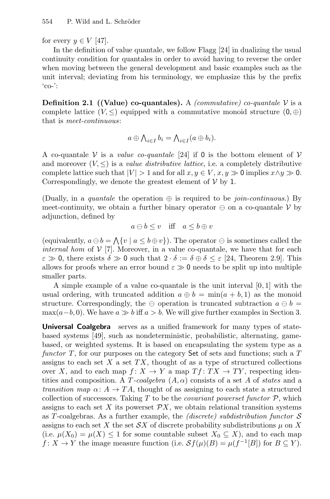for every  $y \in V$  [\[47\]](#page-20-7).

In the definition of value quantale, we follow Flagg [\[24\]](#page-19-5) in dualizing the usual continuity condition for quantales in order to avoid having to reverse the order when moving between the general development and basic examples such as the unit interval; deviating from his terminology, we emphasize this by the prefix  $'co$ -':

**Definition 2.1** ((Value) co-quantales). A *(commutative) co-quantale V* is a complete lattice  $(V, \leq)$  equipped with a commutative monoid structure  $(0, \oplus)$ that is meet-continuous:

$$
a\oplus \bigwedge_{i\in I}b_i=\bigwedge_{i\in I}(a\oplus b_i).
$$

A co-quantale V is a value co-quantale [\[24\]](#page-19-5) if 0 is the bottom element of V and moreover  $(V, \leq)$  is a *value distributive lattice*, i.e. a completely distributive complete lattice such that  $|V| > 1$  and for all  $x, y \in V$ ,  $x, y \gg 0$  implies  $x \land y \gg 0$ . Correspondingly, we denote the greatest element of  $V$  by 1.

(Dually, in a *quantale* the operation  $\oplus$  is required to be *join-continuous*.) By meet-continuity, we obtain a further binary operator  $\ominus$  on a co-quantale V by adjunction, defined by

$$
a \ominus b \le v \quad \text{iff} \quad a \le b \oplus v
$$

(equivalently,  $a \ominus b = \bigwedge \{v \mid a \leq b \oplus v\}$ ). The operator  $\ominus$  is sometimes called the *internal hom* of  $V$  [\[7\]](#page-18-16). Moreover, in a value co-quantale, we have that for each  $\varepsilon \gg 0$ , there exists  $\delta \gg 0$  such that  $2 \cdot \delta := \delta \oplus \delta \leq \varepsilon$  [\[24,](#page-19-5) Theorem 2.9]. This allows for proofs where an error bound  $\varepsilon \gg 0$  needs to be split up into multiple smaller parts.

A simple example of a value co-quantale is the unit interval  $[0, 1]$  with the usual ordering, with truncated addition  $a \oplus b = \min(a + b, 1)$  as the monoid structure. Correspondingly, the  $\ominus$  operation is truncated subtraction  $a \ominus b =$  $\max(a-b, 0)$ . We have  $a \gg b$  iff  $a > b$ . We will give further examples in Section [3.](#page-4-0)

**Universal Coalgebra** serves as a unified framework for many types of statebased systems [\[49\]](#page-20-5), such as nondeterministic, probabilistic, alternating, gamebased, or weighted systems. It is based on encapsulating the system type as a functor  $T$ , for our purposes on the category Set of sets and functions; such a  $T$ assigns to each set  $X$  a set  $TX$ , thought of as a type of structured collections over X, and to each map  $f: X \to Y$  a map  $Tf: TX \to TY$ , respecting identities and composition. A T-coalgebra  $(A, \alpha)$  consists of a set A of states and a transition map  $\alpha: A \to TA$ , thought of as assigning to each state a structured collection of successors. Taking T to be the *covariant powerset functor*  $P$ , which assigns to each set X its powerset  $\mathcal{P}X$ , we obtain relational transition systems as T-coalgebras. As a further example, the *(discrete)* subdistribution functor  $S$ assigns to each set X the set SX of discrete probability subdistributions  $\mu$  on X (i.e.  $\mu(X_0) = \mu(X) \leq 1$  for some countable subset  $X_0 \subseteq X$ ), and to each map  $f: X \to Y$  the image measure function (i.e.  $\mathcal{S}f(\mu)(B) = \mu(f^{-1}[B])$  for  $B \subseteq Y$ ).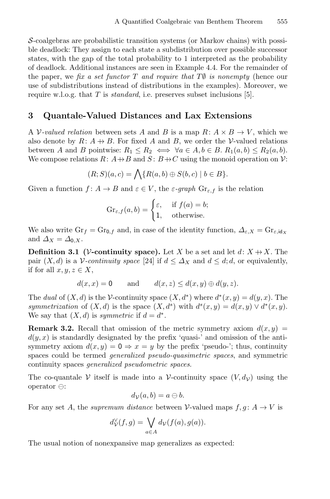S-coalgebras are probabilistic transition systems (or Markov chains) with possible deadlock: They assign to each state a subdistribution over possible successor states, with the gap of the total probability to 1 interpreted as the probability of deadlock. Additional instances are seen in Example [4.4.](#page-8-0) For the remainder of the paper, we fix a set functor T and require that  $T\emptyset$  is nonempty (hence our use of subdistributions instead of distributions in the examples). Moreover, we require w.l.o.g. that  $T$  is *standard*, i.e. preserves subset inclusions [\[5\]](#page-18-17).

### <span id="page-4-0"></span>3 Quantale-Valued Distances and Lax Extensions

A V-valued relation between sets A and B is a map  $R: A \times B \to V$ , which we also denote by  $R: A \rightarrow B$ . For fixed A and B, we order the V-valued relations between A and B pointwise:  $R_1 \leq R_2 \iff \forall a \in A, b \in B$ .  $R_1(a, b) \leq R_2(a, b)$ . We compose relations  $R: A \rightarrow B$  and  $S: B \rightarrow C$  using the monoid operation on  $V$ :

$$
(R;S)(a,c) = \bigwedge \{ R(a,b) \oplus S(b,c) \mid b \in B \}.
$$

Given a function  $f: A \to B$  and  $\varepsilon \in V$ , the  $\varepsilon$ -graph  $\text{Gr}_{\varepsilon,f}$  is the relation

$$
\mathrm{Gr}_{\varepsilon,f}(a,b) = \begin{cases} \varepsilon, & \text{if } f(a) = b; \\ 1, & \text{otherwise.} \end{cases}
$$

We also write  $\text{Gr}_f = \text{Gr}_{0,f}$  and, in case of the identity function,  $\Delta_{\varepsilon,X} = \text{Gr}_{\varepsilon,\text{id}_X}$ and  $\Delta_X = \Delta_{0,X}$ .

**Definition 3.1** (V-continuity space). Let X be a set and let  $d: X \rightarrow X$ . The pair  $(X, d)$  is a V-continuity space [\[24\]](#page-19-5) if  $d \leq \Delta_X$  and  $d \leq d$ ; d, or equivalently, if for all  $x, y, z \in X$ ,

$$
d(x, x) = 0 \quad \text{and} \quad d(x, z) \le d(x, y) \oplus d(y, z).
$$

The dual of  $(X, d)$  is the V-continuity space  $(X, d^*)$  where  $d^*(x, y) = d(y, x)$ . The symmetrization of  $(X, d)$  is the space  $(X, d^s)$  with  $d^s(x, y) = d(x, y) \vee d^*(x, y)$ . We say that  $(X, d)$  is symmetric if  $d = d^*$ .

<span id="page-4-1"></span>**Remark 3.2.** Recall that omission of the metric symmetry axiom  $d(x, y) =$  $d(y, x)$  is standardly designated by the prefix 'quasi-' and omission of the antisymmetry axiom  $d(x, y) = 0 \Rightarrow x = y$  by the prefix 'pseudo-'; thus, continuity spaces could be termed generalized pseudo-quasimetric spaces, and symmetric continuity spaces generalized pseudometric spaces.

The co-quantale V itself is made into a V-continuity space  $(V, d<sub>V</sub>)$  using the operator  $\ominus$ :

$$
d_{\mathcal{V}}(a,b)=a\ominus b.
$$

For any set A, the supremum distance between V-valued maps  $f, g: A \rightarrow V$  is

$$
d_{\mathcal{V}}^{\vee}(f,g) = \bigvee_{a \in A} d_{\mathcal{V}}(f(a),g(a)).
$$

The usual notion of nonexpansive map generalizes as expected: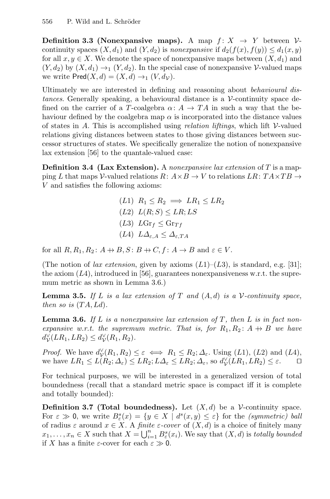Definition 3.3 (Nonexpansive maps). A map  $f: X \rightarrow Y$  between  $\mathcal{V}$ continuity spaces  $(X, d_1)$  and  $(Y, d_2)$  is nonexpansive if  $d_2(f(x), f(y)) \leq d_1(x, y)$ for all  $x, y \in X$ . We denote the space of nonexpansive maps between  $(X, d_1)$  and  $(Y, d_2)$  by  $(X, d_1) \rightarrow_1 (Y, d_2)$ . In the special case of nonexpansive V-valued maps we write  $\text{Pred}(X, d) = (X, d) \rightarrow_1 (V, d_V)$ .

Ultimately we are interested in defining and reasoning about behavioural distances. Generally speaking, a behavioural distance is a  $\mathcal V$ -continuity space defined on the carrier of a T-coalgebra  $\alpha: A \to TA$  in such a way that the behaviour defined by the coalgebra map  $\alpha$  is incorporated into the distance values of states in A. This is accomplished using *relation liftings*, which lift  $\mathcal V$ -valued relations giving distances between states to those giving distances between successor structures of states. We specifically generalize the notion of nonexpansive lax extension [\[56\]](#page-20-8) to the quantale-valued case:

**Definition 3.4 (Lax Extension).** A nonexpansive lax extension of T is a mapping L that maps V-valued relations  $R: A \times B \to V$  to relations  $LR: T A \times T B \to$ V and satisfies the following axioms:

> $(L1)$   $R_1 < R_2 \implies LR_1 < LR_2$  $(L2) L(R;S) \leq LR;LS$  $(L3)$   $LGr_f \leq Gr_{Tf}$ (L4)  $L\Delta_{\varepsilon,A} \leq \Delta_{\varepsilon,TA}$

for all  $R, R_1, R_2: A \rightarrow B, S: B \rightarrow C, f: A \rightarrow B$  and  $\varepsilon \in V$ .

(The notion of *lax extension*, given by axioms  $(L1)–(L3)$ , is standard, e.g. [\[31\]](#page-19-13); the axiom  $(L4)$ , introduced in [\[56\]](#page-20-8), guarantees nonexpansiveness w.r.t. the supremum metric as shown in Lemma [3.6.](#page-5-0))

**Lemma 3.5.** If L is a lax extension of T and  $(A, d)$  is a V-continuity space, then so is  $(TA, Ld)$ .

<span id="page-5-0"></span>**Lemma 3.6.** If L is a nonexpansive lax extension of T, then L is in fact nonexpansive w.r.t. the supremum metric. That is, for  $R_1, R_2: A \rightarrow B$  we have  $d_{\mathcal{V}}^{\vee}(LR_1, LR_2) \leq d_{\mathcal{V}}^{\vee}(R_1, R_2).$ 

*Proof.* We have  $d_V^{\vee}(R_1, R_2) \leq \varepsilon \iff R_1 \leq R_2; \Delta_{\varepsilon}$ . Using  $(L1)$ ,  $(L2)$  and  $(L4)$ , we have  $LR_1 \leq L(R_2; \Delta_{\varepsilon}) \leq LR_2; L\Delta_{\varepsilon} \leq LR_2; \Delta_{\varepsilon}$ , so  $d_V^{\vee}(LR_1, LR_2) \leq \varepsilon$ .  $\Box$ 

For technical purposes, we will be interested in a generalized version of total boundedness (recall that a standard metric space is compact iff it is complete and totally bounded):

**Definition 3.7 (Total boundedness).** Let  $(X, d)$  be a *V*-continuity space. For  $\varepsilon \gg 0$ , we write  $B_{\varepsilon}^s(x) = \{y \in X \mid d^s(x,y) \leq \varepsilon\}$  for the *(symmetric) ball* of radius  $\varepsilon$  around  $x \in X$ . A finite  $\varepsilon$ -cover of  $(X, d)$  is a choice of finitely many  $x_1, \ldots, x_n \in X$  such that  $X = \bigcup_{i=1}^n B_{\varepsilon}^s(x_i)$ . We say that  $(X, d)$  is totally bounded if X has a finite  $\varepsilon$ -cover for each  $\varepsilon \gg 0$ .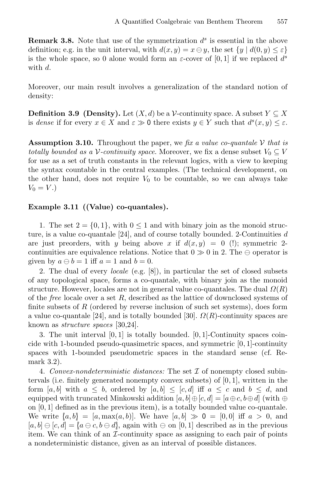**Remark 3.8.** Note that use of the symmetrization  $d^s$  is essential in the above definition; e.g. in the unit interval, with  $d(x, y) = x \ominus y$ , the set  $\{y \mid d(0, y) \leq \varepsilon\}$ is the whole space, so 0 alone would form an  $\varepsilon$ -cover of  $[0,1]$  if we replaced  $d^s$ with d.

Moreover, our main result involves a generalization of the standard notion of density:

**Definition 3.9 (Density).** Let  $(X, d)$  be a V-continuity space. A subset  $Y \subseteq X$ is dense if for every  $x \in X$  and  $\varepsilon \gg 0$  there exists  $y \in Y$  such that  $d^s(x, y) \leq \varepsilon$ .

**Assumption 3.10.** Throughout the paper, we fix a value co-quantale V that is totally bounded as a V-continuity space. Moreover, we fix a dense subset  $V_0 \subseteq V$ for use as a set of truth constants in the relevant logics, with a view to keeping the syntax countable in the central examples. (The technical development, on the other hand, does not require  $V_0$  to be countable, so we can always take  $V_0 = V.$ 

#### <span id="page-6-0"></span>Example 3.11 ((Value) co-quantales).

1. The set  $2 = \{0, 1\}$ , with  $0 \le 1$  and with binary join as the monoid structure, is a value co-quantale  $[24]$ , and of course totally bounded. 2-Continuities d are just preorders, with y being above x if  $d(x, y) = 0$  (!); symmetric 2continuities are equivalence relations. Notice that  $0 \gg 0$  in 2. The  $\ominus$  operator is given by  $a \oplus b = 1$  iff  $a = 1$  and  $b = 0$ .

2. The dual of every locale (e.g. [\[8\]](#page-18-18)), in particular the set of closed subsets of any topological space, forms a co-quantale, with binary join as the monoid structure. However, locales are not in general value co-quantales. The dual  $\Omega(R)$ of the *free* locale over a set  $R$ , described as the lattice of downclosed systems of finite subsets of  $R$  (ordered by reverse inclusion of such set systems), does form a value co-quantale [\[24\]](#page-19-5), and is totally bounded [\[30\]](#page-19-14).  $\Omega(R)$ -continuity spaces are known as structure spaces [\[30,](#page-19-14)[24\]](#page-19-5).

3. The unit interval  $[0, 1]$  is totally bounded.  $[0, 1]$ -Continuity spaces coincide with 1-bounded pseudo-quasimetric spaces, and symmetric  $[0, 1]$ -continuity spaces with 1-bounded pseudometric spaces in the standard sense (cf. Remark [3.2\)](#page-4-1).

<span id="page-6-1"></span>4. Convex-nondeterministic distances: The set  $\mathcal I$  of nonempty closed subintervals (i.e. finitely generated nonempty convex subsets) of  $[0, 1]$ , written in the form [a, b] with  $a \leq b$ , ordered by  $[a, b] \leq [c, d]$  iff  $a \leq c$  and  $b \leq d$ , and equipped with truncated Minkowski addition  $[a, b] \oplus [c, d] = [a \oplus c, b \oplus d]$  (with  $\oplus$ on  $[0, 1]$  defined as in the previous item), is a totally bounded value co-quantale. We write  $[a, b] = [a, max(a, b)]$ . We have  $[a, b] \gg 0 = [0, 0]$  iff  $a > 0$ , and  $[a, b] \ominus [c, d] = \{a \ominus c, b \ominus d\}$ , again with  $\ominus$  on [0, 1] described as in the previous item. We can think of an  $\mathcal I$ -continuity space as assigning to each pair of points a nondeterministic distance, given as an interval of possible distances.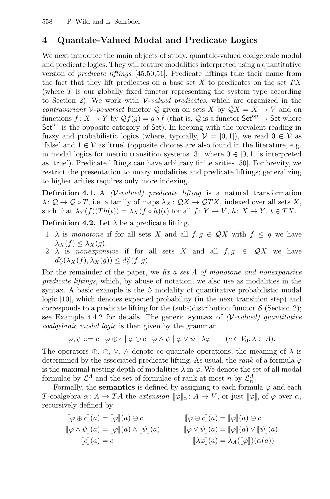# <span id="page-7-0"></span>4 Quantale-Valued Modal and Predicate Logics

We next introduce the main objects of study, quantale-valued coalgebraic modal and predicate logics. They will feature modalities interpreted using a quantitative version of predicate liftings [\[45,](#page-20-9)[50](#page-20-10)[,51\]](#page-20-11). Predicate liftings take their name from the fact that they lift predicates on a base set  $X$  to predicates on the set  $TX$ (where  $T$  is our globally fixed functor representing the system type according to Section [2\)](#page-2-0). We work with  $\mathcal{V}\text{-}valued~predicates$ , which are organized in the contravariant V-powerset functor Q given on sets X by  $\mathcal{Q}X = X \rightarrow V$  and on functions  $f: X \to Y$  by  $\mathcal{Q}f(g) = g \circ f$  (that is,  $\mathcal{Q}$  is a functor  $\mathsf{Set}^{\mathrm{op}} \to \mathsf{Set}$  where  $Set<sup>op</sup>$  is the opposite category of  $Set$ ). In keeping with the prevalent reading in fuzzy and probabilistic logics (where, typically,  $\mathcal{V} = [0, 1]$ ), we read  $0 \in \mathcal{V}$  as 'false' and  $1 \in V$  as 'true' (opposite choices are also found in the literature, e.g. in modal logics for metric transition systems [\[3\]](#page-18-5), where  $0 \in [0, 1]$  is interpreted as 'true'). Predicate liftings can have arbitrary finite arities [\[50\]](#page-20-10). For brevity, we restrict the presentation to unary modalities and predicate liftings; generalizing to higher arities requires only more indexing.

**Definition 4.1.** A  $(V$ -valued) predicate lifting is a natural transformation  $\lambda: \mathcal{Q} \to \mathcal{Q} \circ T$ , i.e. a family of maps  $\lambda_X: \mathcal{Q} X \to \mathcal{Q} TX$ , indexed over all sets X, such that  $\lambda_Y(f)(Th(t)) = \lambda_X(f \circ h)(t)$  for all  $f: Y \to V$ ,  $h: X \to Y$ ,  $t \in TX$ .

**Definition 4.2.** Let  $\lambda$  be a predicate lifting.

- 1.  $\lambda$  is monotone if for all sets X and all  $f, g \in \mathcal{Q}X$  with  $f \leq g$  we have  $\lambda_X(f) \leq \lambda_X(g)$ .
- 2.  $\lambda$  is nonexpansive if for all sets X and all  $f, g \in \mathcal{Q}X$  we have  $d_{\mathcal{V}}^{\vee}(\lambda_X(f), \lambda_X(g)) \leq d_{\mathcal{V}}^{\vee}(f, g).$

For the remainder of the paper, we fix a set  $\Lambda$  of monotone and nonexpansive predicate liftings, which, by abuse of notation, we also use as modalities in the syntax. A basic example is the  $\Diamond$  modality of quantitative probabilistic modal logic [\[10\]](#page-18-3), which denotes expected probability (in the next transition step) and corresponds to a predicate lifting for the (sub-)distribution functor  $\mathcal S$  (Section [2\)](#page-2-0); see Example [4.4.](#page-8-0)[2](#page-9-0) for details. The generic syntax of  $\mathcal{V}\text{-}valued$  quantitative coalgebraic modal logic is then given by the grammar

$$
\varphi, \psi ::= c \mid \varphi \oplus c \mid \varphi \ominus c \mid \varphi \wedge \psi \mid \varphi \vee \psi \mid \lambda \varphi \qquad (c \in V_0, \lambda \in \Lambda).
$$

The operators  $\oplus$ ,  $\ominus$ ,  $\vee$ ,  $\wedge$  denote co-quantale operations, the meaning of  $\lambda$  is determined by the associated predicate lifting. As usual, the rank of a formula  $\varphi$ is the maximal nesting depth of modalities  $\lambda$  in  $\varphi$ . We denote the set of all modal formulae by  $\mathcal{L}^{\Lambda}$  and the set of formulae of rank at most n by  $\mathcal{L}_{n}^{\Lambda}$ .

Formally, the **semantics** is defined by assigning to each formula  $\varphi$  and each T-coalgebra  $\alpha: A \to TA$  the extension  $[\![\varphi]\!]_{\alpha}: A \to V$ , or just  $[\![\varphi]\!]$ , of  $\varphi$  over  $\alpha$ , recursively defined by

$$
\begin{aligned}\n[\varphi \oplus c](a) &= [\varphi](a) \oplus c & [\varphi \ominus c](a) &= [\varphi](a) \ominus c \\
[\varphi \wedge \psi](a) &= [\varphi](a) \wedge [\psi](a) & [\varphi \vee \psi](a) &= [\varphi](a) \vee [\psi](a) \\
[\mathbb{C}](a) &= c & [\lambda \varphi](a) &= \lambda_A([\varphi])(\alpha(a))\n\end{aligned}
$$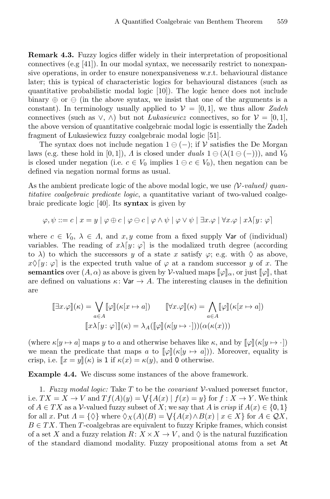<span id="page-8-2"></span>Remark 4.3. Fuzzy logics differ widely in their interpretation of propositional connectives (e.g [\[41\]](#page-19-15)). In our modal syntax, we necessarily restrict to nonexpansive operations, in order to ensure nonexpansiveness w.r.t. behavioural distance later; this is typical of characteristic logics for behavioural distances (such as quantitative probabilistic modal logic [\[10\]](#page-18-3)). The logic hence does not include binary  $\oplus$  or  $\ominus$  (in the above syntax, we insist that one of the arguments is a constant). In terminology usually applied to  $V = [0, 1]$ , we thus allow Zadeh connectives (such as  $\vee$ ,  $\wedge$ ) but not *Lukasiewicz* connectives, so for  $\mathcal{V} = [0, 1],$ the above version of quantitative coalgebraic modal logic is essentially the Zadeh fragment of Lukasiewicz fuzzy coalgebraic modal logic [\[51\]](#page-20-11).

The syntax does not include negation  $1 \ominus (-)$ ; if V satisfies the De Morgan laws (e.g. these hold in [0,1]),  $\Lambda$  is closed under duals  $1 \ominus (\lambda(1 \ominus (-)))$ , and  $V_0$ is closed under negation (i.e.  $c \in V_0$  implies  $1 \ominus c \in V_0$ ), then negation can be defined via negation normal forms as usual.

As the ambient predicate logic of the above modal logic, we use  $(\mathcal{V}\text{-}valued)$  quantitative coalgebraic predicate logic, a quantitative variant of two-valued coalgebraic predicate logic [\[40\]](#page-19-16). Its syntax is given by

$$
\varphi, \psi ::= c \mid x = y \mid \varphi \oplus c \mid \varphi \ominus c \mid \varphi \wedge \psi \mid \varphi \vee \psi \mid \exists x. \varphi \mid \forall x. \varphi \mid x \lambda [y : \varphi]
$$

where  $c \in V_0$ ,  $\lambda \in \Lambda$ , and  $x, y$  come from a fixed supply **Var** of (individual) variables. The reading of  $x\lambda[y: \varphi]$  is the modalized truth degree (according to  $\lambda$ ) to which the successors y of a state x satisfy  $\varphi$ ; e.g. with  $\Diamond$  as above,  $x \Diamond [y : \varphi]$  is the expected truth value of  $\varphi$  at a random successor y of x. The semantics over  $(A, \alpha)$  as above is given by V-valued maps  $\llbracket \varphi \rrbracket_{\alpha}$ , or just  $\llbracket \varphi \rrbracket$ , that are defined on valuations  $\kappa: \mathsf{Var} \to A$ . The interesting clauses in the definition are

<span id="page-8-0"></span>
$$
\llbracket \exists x. \varphi \rrbracket(\kappa) = \bigvee_{a \in A} \llbracket \varphi \rrbracket(\kappa[x \mapsto a]) \qquad \llbracket \forall x. \varphi \rrbracket(\kappa) = \bigwedge_{a \in A} \llbracket \varphi \rrbracket(\kappa[x \mapsto a])
$$

$$
\llbracket x \lambda [y: \varphi] \rrbracket(\kappa) = \lambda_A (\llbracket \varphi \rrbracket(\kappa[y \mapsto \cdot]))(\alpha(\kappa(x)))
$$

(where  $\kappa[y \mapsto a]$  maps y to a and otherwise behaves like  $\kappa$ , and by  $\llbracket \varphi \rrbracket(\kappa[y \mapsto \cdot])$ we mean the predicate that maps a to  $\lbrack \varphi \rbrack (\kappa |y \mapsto a)$ . Moreover, equality is crisp, i.e.  $[x = y](\kappa)$  is 1 if  $\kappa(x) = \kappa(y)$ , and 0 otherwise.

Example 4.4. We discuss some instances of the above framework.

<span id="page-8-1"></span>1. Fuzzy modal logic: Take  $T$  to be the *covariant*  $V$ -valued powerset functor, i.e.  $TX = X \to V$  and  $Tf(A)(y) = \bigvee \{A(x) | f(x) = y\}$  for  $f : X \to Y$ . We think of  $A \in TX$  as a V-valued fuzzy subset of X; we say that A is crisp if  $A(x) \in \{0,1\}$ for all x. Put  $\Lambda = \{ \Diamond \}$  where  $\Diamond_X(A)(B) = \bigvee \{ A(x) \land B(x) \mid x \in X \}$  for  $A \in \mathcal{QX}$ ,  $B \in TX$ . Then T-coalgebras are equivalent to fuzzy Kripke frames, which consist of a set X and a fuzzy relation  $R: X \times X \to V$ , and  $\Diamond$  is the natural fuzzification of the standard diamond modality. Fuzzy propositional atoms from a set At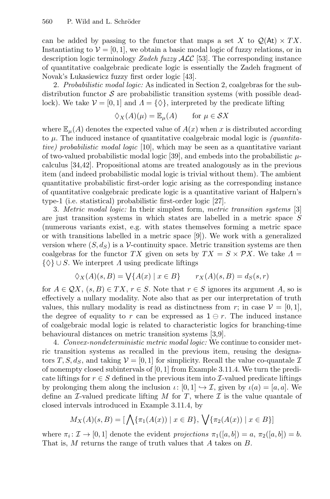can be added by passing to the functor that maps a set X to  $\mathcal{Q}(At) \times TX$ . Instantiating to  $\mathcal{V} = [0, 1]$ , we obtain a basic modal logic of fuzzy relations, or in description logic terminology Zadeh fuzzy  $\text{ALC}$  [\[53\]](#page-20-12). The corresponding instance of quantitative coalgebraic predicate logic is essentially the Zadeh fragment of Novak's Lukasiewicz fuzzy first order logic [\[43\]](#page-20-13).

<span id="page-9-0"></span>2. Probabilistic modal logic: As indicated in Section [2,](#page-2-0) coalgebras for the subdistribution functor  $\mathcal S$  are probabilistic transition systems (with possible deadlock). We take  $\mathcal{V} = [0, 1]$  and  $\Lambda = {\Diamond}$ , interpreted by the predicate lifting

$$
\Diamond_X(A)(\mu) = \mathbb{E}_{\mu}(A) \quad \text{for } \mu \in \mathcal{S}X
$$

where  $\mathbb{E}_{\mu}(A)$  denotes the expected value of  $A(x)$  when x is distributed according to  $\mu$ . The induced instance of quantitative coalgebraic modal logic is *(quantita*tive) probabilistic modal logic [\[10\]](#page-18-3), which may be seen as a quantitative variant of two-valued probabilistic modal logic [\[39\]](#page-19-11), and embeds into the probabilistic  $\mu$ calculus [\[34,](#page-19-17)[42\]](#page-19-18). Propositional atoms are treated analogously as in the previous item (and indeed probabilistic modal logic is trivial without them). The ambient quantitative probabilistic first-order logic arising as the corresponding instance of quantitative coalgebraic predicate logic is a quantitative variant of Halpern's type-1 (i.e. statistical) probabilistic first-order logic [\[27\]](#page-19-19).

<span id="page-9-1"></span>3. Metric modal logic: In their simplest form, metric transition systems [\[3\]](#page-18-5) are just transition systems in which states are labelled in a metric space S (numerous variants exist, e.g. with states themselves forming a metric space or with transitions labelled in a metric space [\[9\]](#page-18-19)). We work with a generalized version where  $(S, d_S)$  is a V-continuity space. Metric transition systems are then coalgebras for the functor TX given on sets by  $TX = S \times \mathcal{P}X$ . We take  $\Lambda =$  $\{\Diamond\} \cup S$ . We interpret A using predicate liftings

$$
\Diamond_X(A)(s, B) = \bigvee \{A(x) \mid x \in B\} \qquad r_X(A)(s, B) = d_S(s, r)
$$

for  $A \in \mathcal{Q}X$ ,  $(s, B) \in TX$ ,  $r \in S$ . Note that  $r \in S$  ignores its argument A, so is effectively a nullary modality. Note also that as per our interpretation of truth values, this nullary modality is read as distinctness from r; in case  $V = [0, 1]$ , the degree of equality to r can be expressed as  $1 \oplus r$ . The induced instance of coalgebraic modal logic is related to characteristic logics for branching-time behavioural distances on metric transition systems [\[3,](#page-18-5)[9\]](#page-18-19).

<span id="page-9-2"></span>4. Convex-nondeterministic metric modal logic: We continue to consider metric transition systems as recalled in the previous item, reusing the designators T, S,  $d_S$ , and taking  $\mathcal{V} = [0, 1]$  for simplicity. Recall the value co-quantale  $\mathcal{I}$ of nonempty closed subintervals of [0, 1] from Example [3.11](#page-6-0)[.4.](#page-6-1) We turn the predicate liftings for  $r \in S$  defined in the previous item into  $\mathcal{I}$ -valued predicate liftings by prolonging them along the inclusion  $\iota: [0, 1] \hookrightarrow \mathcal{I}$ , given by  $\iota(a) = [a, a]$ . We define an  $\mathcal I$ -valued predicate lifting  $M$  for  $T$ , where  $\mathcal I$  is the value quantale of closed intervals introduced in Example [3.11.](#page-6-0)[4,](#page-6-1) by

$$
M_X(A)(s, B) = [\bigwedge \{\pi_1(A(x)) \mid x \in B\}, \bigvee \{\pi_2(A(x)) \mid x \in B\}]
$$

where  $\pi_i: \mathcal{I} \to [0,1]$  denote the evident projections  $\pi_1([a,b]) = a, \pi_2([a,b]) = b.$ That is, M returns the range of truth values that A takes on B.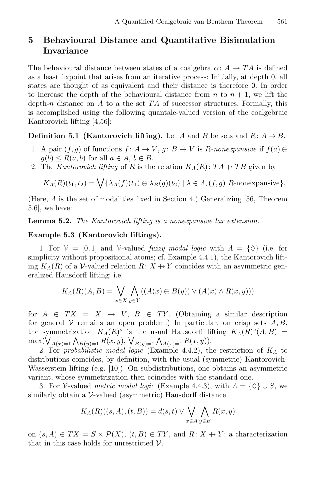## 5 Behavioural Distance and Quantitative Bisimulation Invariance

The behavioural distance between states of a coalgebra  $\alpha: A \to TA$  is defined as a least fixpoint that arises from an iterative process: Initially, at depth 0, all states are thought of as equivalent and their distance is therefore 0. In order to increase the depth of the behavioural distance from n to  $n + 1$ , we lift the depth-n distance on A to a the set  $TA$  of successor structures. Formally, this is accomplished using the following quantale-valued version of the coalgebraic Kantorovich lifting [\[4,](#page-18-20)[56\]](#page-20-8):

#### **Definition 5.1 (Kantorovich lifting).** Let A and B be sets and  $R: A \rightarrow B$ .

- 1. A pair  $(f, g)$  of functions  $f: A \to V$ ,  $g: B \to V$  is R-nonexpansive if  $f(a) \oplus$  $g(b) \leq R(a, b)$  for all  $a \in A, b \in B$ .
- 2. The Kantorovich lifting of R is the relation  $K_A(R)$ :  $TA \rightarrow TB$  given by

$$
K_A(R)(t_1, t_2) = \bigvee \{ \lambda_A(f)(t_1) \ominus \lambda_B(g)(t_2) \mid \lambda \in \Lambda, (f, g) \text{ } R\text{-nonexpansive} \}.
$$

(Here, Λ is the set of modalities fixed in Section [4.](#page-7-0)) Generalizing [\[56,](#page-20-8) Theorem 5.6], we have:

Lemma 5.2. The Kantorovich lifting is a nonexpansive lax extension.

#### <span id="page-10-0"></span>Example 5.3 (Kantorovich liftings).

1. For  $\mathcal{V} = [0, 1]$  and V-valued fuzzy modal logic with  $\Lambda = {\emptyset}$  (i.e. for simplicity without propositional atoms; cf. Example [4.4](#page-8-0)[.1\)](#page-8-1), the Kantorovich lifting  $K_A(R)$  of a V-valued relation  $R: X \rightarrow Y$  coincides with an asymmetric generalized Hausdorff lifting; i.e.

$$
K_A(R)(A, B) = \bigvee_{x \in X} \bigwedge_{y \in Y} ((A(x) \ominus B(y)) \vee (A(x) \wedge R(x, y)))
$$

for  $A \in TX = X \rightarrow V$ ,  $B \in TY$ . (Obtaining a similar description for general V remains an open problem.) In particular, on crisp sets  $A, B$ , the symmetrization  $K_A(R)^s$  is the usual Hausdorff lifting  $K_A(R)^s(A, B)$  =  $\max(\bigvee_{A(x)=1}\bigwedge_{B(y)=1}R(x,y),\bigvee_{B(y)=1}\bigwedge_{A(x)=1}R(x,y)).$ 

2. For probabilistic modal logic (Example [4.4](#page-8-0)[.2\)](#page-9-0), the restriction of  $K_A$  to distributions coincides, by definition, with the usual (symmetric) Kantorovich-Wasserstein lifting (e.g. [\[10\]](#page-18-3)). On subdistributions, one obtains an asymmetric variant, whose symmetrization then coincides with the standard one.

<span id="page-10-1"></span>3. For V-valued metric modal logic (Example [4.4](#page-8-0)[.3\)](#page-9-1), with  $\Lambda = \{ \Diamond \} \cup S$ , we similarly obtain a V-valued (asymmetric) Hausdorff distance

$$
K_A(R)((s, A), (t, B)) = d(s,t) \vee \bigvee_{x \in A} \bigwedge_{y \in B} R(x, y)
$$

on  $(s, A) \in TX = S \times \mathcal{P}(X)$ ,  $(t, B) \in TY$ , and  $R: X \rightarrow Y$ ; a characterization that in this case holds for unrestricted  $V$ .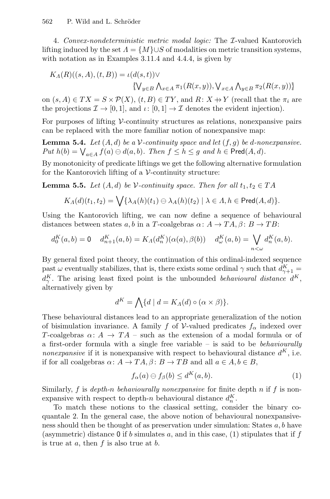4. Convex-nondeterministic metric modal logic: The I-valued Kantorovich lifting induced by the set  $\Lambda = \{M\} \cup S$  of modalities on metric transition systems, with notation as in Examples [3.11.](#page-6-0)[4](#page-6-1) and [4.4.](#page-8-0)[4,](#page-9-2) is given by

$$
K_A(R)((s,A),(t,B)) = \iota(d(s,t)) \vee
$$
  

$$
\{\bigvee_{y \in B} \bigwedge_{x \in A} \pi_1(R(x,y)), \bigvee_{x \in A} \bigwedge_{y \in B} \pi_2(R(x,y))\}
$$

on  $(s, A) \in TX = S \times \mathcal{P}(X)$ ,  $(t, B) \in TY$ , and  $R: X \rightarrow Y$  (recall that the  $\pi_i$  are the projections  $\mathcal{I} \to [0, 1]$ , and  $\iota : [0, 1] \to \mathcal{I}$  denotes the evident injection).

For purposes of lifting  $\mathcal V$ -continuity structures as relations, nonexpansive pairs can be replaced with the more familiar notion of nonexpansive map:

**Lemma 5.4.** Let  $(A, d)$  be a V-continuity space and let  $(f, g)$  be d-nonexpansive. Put  $h(b) = \bigvee_{a \in A} f(a) \ominus d(a, b)$ . Then  $f \leq h \leq g$  and  $h \in \text{Pred}(A, d)$ .

By monotonicity of predicate liftings we get the following alternative formulation for the Kantorovich lifting of a V-continuity structure:

<span id="page-11-1"></span>**Lemma 5.5.** Let  $(A,d)$  be V-continuity space. Then for all  $t_1, t_2 \in TA$ 

$$
K_{\Lambda}(d)(t_1, t_2) = \bigvee \{ \lambda_A(h)(t_1) \ominus \lambda_A(h)(t_2) \mid \lambda \in \Lambda, h \in \text{Pred}(A, d) \}.
$$

Using the Kantorovich lifting, we can now define a sequence of behavioural distances between states a, b in a T-coalgebras  $\alpha: A \to TA, \beta: B \to TB$ :

$$
d_0^K(a,b) = 0 \t d_{n+1}^K(a,b) = K_A(d_n^K)(\alpha(a), \beta(b)) \t d_{\omega}^K(a,b) = \bigvee_{n < \omega} d_n^K(a,b).
$$

By general fixed point theory, the continuation of this ordinal-indexed sequence past  $\omega$  eventually stabilizes, that is, there exists some ordinal  $\gamma$  such that  $d_{\gamma+1}^K =$  $d_{\gamma}^{K}$ . The arising least fixed point is the unbounded behavioural distance  $d^{K}$ , alternatively given by

$$
d^K = \bigwedge \{d \mid d = K_A(d) \circ (\alpha \times \beta)\}.
$$

These behavioural distances lead to an appropriate generalization of the notion of bisimulation invariance. A family f of V-valued predicates  $f_{\alpha}$  indexed over T-coalgebras  $\alpha: A \to TA$  – such as the extension of a modal formula or of a first-order formula with a single free variable  $-$  is said to be *behaviourally* nonexpansive if it is nonexpansive with respect to behavioural distance  $d^K$ , i.e. if for all coalgebras  $\alpha: A \to TA, \beta: B \to TB$  and all  $a \in A, b \in B$ ,

<span id="page-11-0"></span>
$$
f_{\alpha}(a) \ominus f_{\beta}(b) \le d^{K}(a, b). \tag{1}
$$

Similarly, f is depth-n behaviourally nonexpansive for finite depth n if f is nonexpansive with respect to depth-n behavioural distance  $d_n^K$ .

To match these notions to the classical setting, consider the binary coquantale 2. In the general case, the above notion of behavioural nonexpansiveness should then be thought of as preservation under simulation: States  $a, b$  have (asymmetric) distance 0 if b simulates a, and in this case,  $(1)$  stipulates that if f is true at  $a$ , then  $f$  is also true at  $b$ .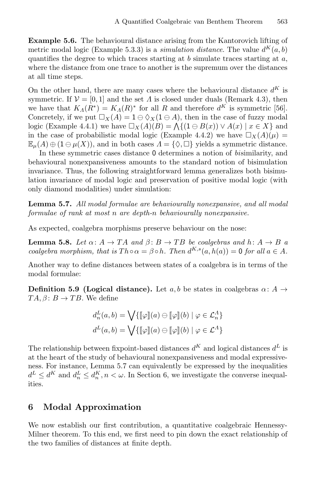Example 5.6. The behavioural distance arising from the Kantorovich lifting of metric modal logic (Example [5.3.](#page-10-0)[3\)](#page-10-1) is a *simulation distance*. The value  $d^{K}(a, b)$ quantifies the degree to which traces starting at  $b$  simulate traces starting at  $a$ , where the distance from one trace to another is the supremum over the distances at all time steps.

On the other hand, there are many cases where the behavioural distance  $d^K$  is symmetric. If  $\mathcal{V} = [0, 1]$  and the set  $\Lambda$  is closed under duals (Remark [4.3\)](#page-8-2), then we have that  $K_A(R^*) = K_A(R)^*$  for all R and therefore  $d^K$  is symmetric [\[56\]](#page-20-8). Concretely, if we put  $\Box_X(A) = 1 \ominus \Diamond_X(1 \ominus A)$ , then in the case of fuzzy modal logic (Example [4.4.](#page-8-0)[1\)](#page-8-1) we have  $\Box_X(A)(B) = \bigwedge \{(1 \ominus B(x)) \vee A(x) \mid x \in X\}$  and in the case of probabilistic modal logic (Example [4.4.](#page-8-0)[2\)](#page-9-0) we have  $\Box_X(A)(\mu) =$  $\mathbb{E}_{\mu}(A) \oplus (1 \ominus \mu(X)),$  and in both cases  $\Lambda = {\emptyset, \square}$  yields a symmetric distance.

In these symmetric cases distance 0 determines a notion of bisimilarity, and behavioural nonexpansiveness amounts to the standard notion of bisimulation invariance. Thus, the following straightforward lemma generalizes both bisimulation invariance of modal logic and preservation of positive modal logic (with only diamond modalities) under simulation:

<span id="page-12-0"></span>Lemma 5.7. All modal formulae are behaviourally nonexpansive, and all modal formulae of rank at most n are depth-n behaviourally nonexpansive.

As expected, coalgebra morphisms preserve behaviour on the nose:

**Lemma 5.8.** Let  $\alpha: A \to TA$  and  $\beta: B \to TB$  be coalgebras and  $h: A \to B$  a coalgebra morphism, that is  $Th \circ \alpha = \beta \circ h$ . Then  $d^{K,s}(a, h(a)) = 0$  for all  $a \in A$ .

Another way to define distances between states of a coalgebra is in terms of the modal formulae:

Definition 5.9 (Logical distance). Let a, b be states in coalgebras  $\alpha: A \rightarrow$  $TA, \beta: B \to TB$ . We define

$$
d_n^L(a, b) = \bigvee \{ [\![\varphi]\!](a) \ominus [\![\varphi]\!](b) \mid \varphi \in \mathcal{L}_n^A \}
$$

$$
d^L(a, b) = \bigvee \{ [\![\varphi]\!](a) \ominus [\![\varphi]\!](b) \mid \varphi \in \mathcal{L}^A \}
$$

The relationship between fixpoint-based distances  $d^K$  and logical distances  $d^L$  is at the heart of the study of behavioural nonexpansiveness and modal expressiveness. For instance, Lemma [5.7](#page-12-0) can equivalently be expressed by the inequalities  $d^L \leq d^K$  and  $d_n^L \leq d_n^K$ ,  $n < \omega$ . In Section [6,](#page-12-1) we investigate the converse inequalities.

### <span id="page-12-1"></span>6 Modal Approximation

<span id="page-12-2"></span>We now establish our first contribution, a quantitative coalgebraic Hennessy-Milner theorem. To this end, we first need to pin down the exact relationship of the two families of distances at finite depth.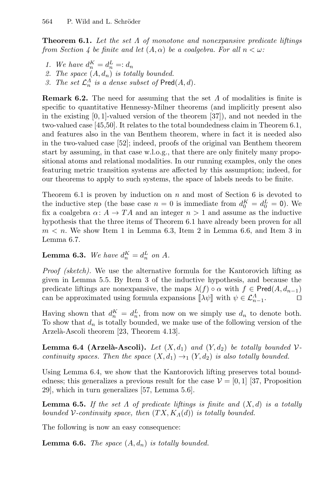**Theorem 6.1.** Let the set  $\Lambda$  of monotone and nonexpansive predicate liftings from Section [4](#page-7-0) be finite and let  $(A, \alpha)$  be a coalgebra. For all  $n < \omega$ :

- <span id="page-13-0"></span>1. We have  $d_n^K = d_n^L =: d_n$
- <span id="page-13-2"></span>2. The space  $(A, d_n)$  is totally bounded.
- <span id="page-13-4"></span>3. The set  $\mathcal{L}_n^{\Lambda}$  is a dense subset of  $\textsf{Pred}(A, d)$ .

**Remark 6.2.** The need for assuming that the set  $\Lambda$  of modalities is finite is specific to quantitative Hennessy-Milner theorems (and implicitly present also in the existing  $[0, 1]$ -valued version of the theorem  $[37]$ , and not needed in the two-valued case [\[45](#page-20-9)[,50\]](#page-20-10). It relates to the total boundedness claim in Theorem [6.1,](#page-12-2) and features also in the van Benthem theorem, where in fact it is needed also in the two-valued case [\[52\]](#page-20-1); indeed, proofs of the original van Benthem theorem start by assuming, in that case w.l.o.g., that there are only finitely many propositional atoms and relational modalities. In our running examples, only the ones featuring metric transition systems are affected by this assumption; indeed, for our theorems to apply to such systems, the space of labels needs to be finite.

Theorem [6.1](#page-12-2) is proven by induction on  $n$  and most of Section [6](#page-12-1) is devoted to the inductive step (the base case  $n = 0$  is immediate from  $d_0^K = d_0^L = 0$ ). We fix a coalgebra  $\alpha: A \to TA$  and an integer  $n > 1$  and assume as the inductive hypothesis that the three items of Theorem [6.1](#page-12-2) have already been proven for all  $m < n$ . We show Item [1](#page-13-0) in Lemma [6.3,](#page-13-1) Item [2](#page-13-2) in Lemma [6.6,](#page-13-3) and Item [3](#page-13-4) in Lemma [6.7.](#page-14-0)

<span id="page-13-1"></span>**Lemma 6.3.** We have  $d_n^K = d_n^L$  on A.

Proof (sketch). We use the alternative formula for the Kantorovich lifting as given in Lemma [5.5.](#page-11-1) By Item [3](#page-13-4) of the inductive hypothesis, and because the predicate liftings are nonexpansive, the maps  $\lambda(f) \circ \alpha$  with  $f \in \text{Pred}(A, d_{n-1})$ can be approximated using formula expansions  $\llbracket \lambda \psi \rrbracket$  with  $\psi \in \mathcal{L}_{n-1}^{\Lambda}$  $\Box$ 

Having shown that  $d_n^K = d_n^L$ , from now on we simply use  $d_n$  to denote both. To show that  $d_n$  is totally bounded, we make use of the following version of the Arzelà-Ascoli theorem [\[23,](#page-19-20) Theorem 4.13].

<span id="page-13-5"></span>**Lemma 6.4 (Arzelà-Ascoli).** Let  $(X, d_1)$  and  $(Y, d_2)$  be totally bounded Vcontinuity spaces. Then the space  $(X, d_1) \rightarrow_1 (Y, d_2)$  is also totally bounded.

Using Lemma [6.4,](#page-13-5) we show that the Kantorovich lifting preserves total boundedness; this generalizes a previous result for the case  $\mathcal{V} = [0, 1]$  [\[37,](#page-19-7) Proposition 29], which in turn generalizes [\[57,](#page-20-3) Lemma 5.6].

**Lemma 6.5.** If the set  $\Lambda$  of predicate liftings is finite and  $(X, d)$  is a totally bounded V-continuity space, then  $(T X, K_A(d))$  is totally bounded.

<span id="page-13-3"></span>The following is now an easy consequence:

**Lemma 6.6.** The space  $(A, d_n)$  is totally bounded.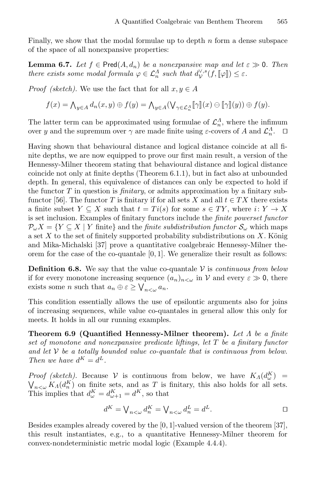Finally, we show that the modal formulae up to depth  $n$  form a dense subspace of the space of all nonexpansive properties:

<span id="page-14-0"></span>**Lemma 6.7.** Let  $f \in Pred(A, d_n)$  be a nonexpansive map and let  $\varepsilon \gg 0$ . Then there exists some modal formula  $\varphi \in \mathcal{L}_n^A$  such that  $d_{\mathcal{V}}^{\vee,s}(f,\llbracket \varphi \rrbracket) \leq \varepsilon$ .

*Proof (sketch)*. We use the fact that for all  $x, y \in A$ 

$$
f(x) = \bigwedge_{y \in A} d_n(x, y) \oplus f(y) = \bigwedge_{y \in A} (\bigvee_{\gamma \in \mathcal{L}_n^A} [\![\gamma]\!](x) \ominus [\![\gamma]\!](y)) \oplus f(y).
$$

The latter term can be approximated using formulae of  $\mathcal{L}_n^A$ , where the infimum over y and the supremum over  $\gamma$  are made finite using  $\varepsilon$ -covers of A and  $\mathcal{L}_n^A$ .  $\Box$ 

Having shown that behavioural distance and logical distance coincide at all finite depths, we are now equipped to prove our first main result, a version of the Hennessy-Milner theorem stating that behavioural distance and logical distance coincide not only at finite depths (Theorem [6.1](#page-12-2)[.1\)](#page-13-0), but in fact also at unbounded depth. In general, this equivalence of distances can only be expected to hold if the functor  $T$  in question is *finitary*, or admits approximation by a finitary sub-functor [\[56\]](#page-20-8). The functor T is finitary if for all sets X and all  $t \in TX$  there exists a finite subset  $Y \subseteq X$  such that  $t = Ti(s)$  for some  $s \in TY$ , where  $i: Y \to X$ is set inclusion. Examples of finitary functors include the finite powerset functor  $\mathcal{P}_{\omega}X = \{Y \subseteq X \mid Y \text{ finite}\}\$ and the *finite subdistribution functor*  $\mathcal{S}_{\omega}$  which maps a set  $X$  to the set of finitely supported probability subdistributions on  $X$ . König and Mika-Michalski [\[37\]](#page-19-7) prove a quantitative coalgebraic Hennessy-Milner theorem for the case of the co-quantale  $[0, 1]$ . We generalize their result as follows:

**Definition 6.8.** We say that the value co-quantale  $V$  is *continuous from below* if for every monotone increasing sequence  $(a_n)_{n<\omega}$  in V and every  $\varepsilon \gg 0$ , there exists some *n* such that  $a_n \oplus \varepsilon \ge \bigvee_{n < \omega} a_n$ .

This condition essentially allows the use of epsilontic arguments also for joins of increasing sequences, while value co-quantales in general allow this only for meets. It holds in all our running examples.

Theorem 6.9 (Quantified Hennessy-Milner theorem). Let  $\Lambda$  be a finite set of monotone and nonexpansive predicate liftings, let T be a finitary functor and let  $V$  be a totally bounded value co-quantale that is continuous from below. Then we have  $d^K = d^L$ .

*Proof (sketch)*. Because  $V$  is continuous from below, we have  $K_A(d_{\omega}^K)$  =  $\bigvee_{n\leq\omega}K_\Lambda(d_n^K)$  on finite sets, and as T is finitary, this also holds for all sets. This implies that  $d_{\omega}^{K} = d_{\omega+1}^{K} = d^{K}$ , so that

$$
d^K = \bigvee_{n < \omega} d_n^K = \bigvee_{n < \omega} d_n^L = d^L. \qquad \Box
$$

Besides examples already covered by the [0, 1]-valued version of the theorem [\[37\]](#page-19-7), this result instantiates, e.g., to a quantitative Hennessy-Milner theorem for convex-nondeterministic metric modal logic (Example [4.4](#page-8-0)[.4\)](#page-9-2).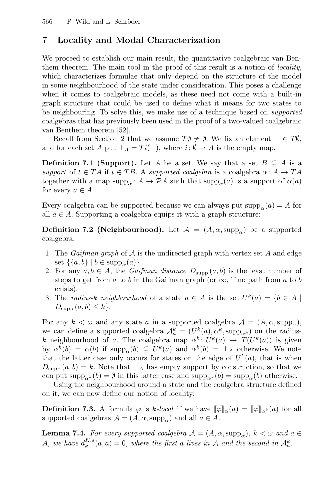# 7 Locality and Modal Characterization

We proceed to establish our main result, the quantitative coalgebraic van Benthem theorem. The main tool in the proof of this result is a notion of locality, which characterizes formulae that only depend on the structure of the model in some neighbourhood of the state under consideration. This poses a challenge when it comes to coalgebraic models, as these need not come with a built-in graph structure that could be used to define what it means for two states to be neighbouring. To solve this, we make use of a technique based on supported coalgebras that has previously been used in the proof of a two-valued coalgebraic van Benthem theorem [\[52\]](#page-20-1).

Recall from Section [2](#page-2-0) that we assume  $T\emptyset \neq \emptyset$ . We fix an element  $\bot \in T\emptyset$ , and for each set A put  $\perp_A = Ti(\perp)$ , where  $i: \emptyset \to A$  is the empty map.

**Definition 7.1 (Support).** Let A be a set. We say that a set  $B \subseteq A$  is a support of  $t \in TA$  if  $t \in TB$ . A supported coalgebra is a coalgebra  $\alpha: A \rightarrow TA$ together with a map supp<sub> $\alpha$ </sub>:  $A \rightarrow \mathcal{P}A$  such that supp<sub> $\alpha$ </sub>(a) is a support of  $\alpha$ (a) for every  $a \in A$ .

Every coalgebra can be supported because we can always put  $\text{supp}_{\alpha}(a) = A$  for all  $a \in A$ . Supporting a coalgebra equips it with a graph structure:

**Definition 7.2 (Neighbourhood).** Let  $A = (A, \alpha, \text{supp}_{\alpha})$  be a supported coalgebra.

- 1. The *Gaifman graph* of  $A$  is the undirected graph with vertex set  $A$  and edge set  $\{\{a, b\} \mid b \in \text{supp}_{\alpha}(a)\}.$
- 2. For any  $a, b \in A$ , the *Gaifman distance*  $D_{\text{supp}}(a, b)$  is the least number of steps to get from a to b in the Gaifman graph (or  $\infty$ , if no path from a to b exists).
- 3. The radius-k neighbourhood of a state  $a \in A$  is the set  $U^k(a) = \{b \in A \mid$  $D_{\text{supp}}(a, b) \leq k$ .

For any  $k < \omega$  and any state a in a supported coalgebra  $\mathcal{A} = (A, \alpha, \text{supp}_{\alpha}),$ we can define a supported coalgebra  $\mathcal{A}_a^k = (U^k(a), \alpha^k, \text{supp}_{\alpha^k})$  on the radiusk neighbourhood of a. The coalgebra map  $\alpha^k: U^k(a) \to T(U^k(a))$  is given by  $\alpha^k(b) = \alpha(b)$  if  $\text{supp}_{\alpha}(b) \subseteq U^k(a)$  and  $\alpha^k(b) = \perp_A$  otherwise. We note that the latter case only occurs for states on the edge of  $U^k(a)$ , that is when  $D_{\text{supp}}(a, b) = k$ . Note that  $\perp_A$  has empty support by construction, so that we can put supp<sub> $\alpha^{k}(b) = \emptyset$  in this latter case and supp $\alpha^{k}(b) = \text{supp}_{\alpha}(b)$  otherwise.</sub>

Using the neighbourhood around a state and the coalgebra structure defined on it, we can now define our notion of locality:

**Definition 7.3.** A formula  $\varphi$  is k-local if we have  $\lVert \varphi \rVert_{\alpha}(a) = \lVert \varphi \rVert_{\alpha}(a)$  for all supported coalgebras  $A = (A, \alpha, \text{supp}_{\alpha})$  and all  $a \in A$ .

**Lemma 7.4.** For every supported coalgebra  $A = (A, \alpha, \text{supp}_{\alpha}), k < \omega$  and  $a \in$ A, we have  $d_k^{K,s}(a, a) = 0$ , where the first a lives in A and the second in  $\mathcal{A}_a^k$ .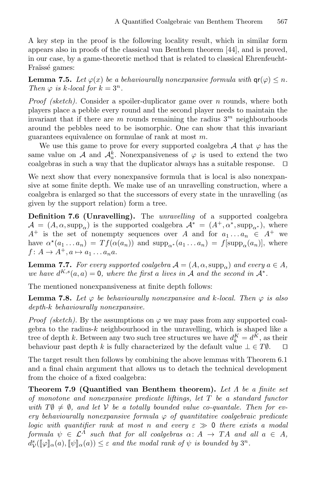A key step in the proof is the following locality result, which in similar form appears also in proofs of the classical van Benthem theorem [\[44\]](#page-20-14), and is proved, in our case, by a game-theoretic method that is related to classical Ehrenfeucht-Fraïssé games:

<span id="page-16-0"></span>**Lemma 7.5.** Let  $\varphi(x)$  be a behaviourally nonexpansive formula with  $\varphi(\varphi) \leq n$ . Then  $\varphi$  is k-local for  $k = 3^n$ .

*Proof (sketch)*. Consider a spoiler-duplicator game over n rounds, where both players place a pebble every round and the second player needs to maintain the invariant that if there are m rounds remaining the radius  $3<sup>m</sup>$  neighbourhoods around the pebbles need to be isomorphic. One can show that this invariant guarantees equivalence on formulae of rank at most m.

We use this game to prove for every supported coalgebra  $A$  that  $\varphi$  has the same value on A and  $\mathcal{A}_a^k$ . Nonexpansiveness of  $\varphi$  is used to extend the two coalgebras in such a way that the duplicator always has a suitable response.  $\Box$ 

We next show that every nonexpansive formula that is local is also nonexpansive at some finite depth. We make use of an unravelling construction, where a coalgebra is enlarged so that the successors of every state in the unravelling (as given by the support relation) form a tree.

Definition 7.6 (Unravelling). The unravelling of a supported coalgebra  $\mathcal{A} = (A, \alpha, \text{supp}_{\alpha})$  is the supported coalgebra  $\mathcal{A}^* = (A^+, \alpha^*, \text{supp}_{\alpha^*})$ , where  $A^+$  is the set of nonempty sequences over A and for  $a_1 \ldots a_n \in A^+$  we have  $\alpha^*(a_1 \ldots a_n) = Tf(\alpha(a_n))$  and  $\text{supp}_{\alpha^*}(a_1 \ldots a_n) = f[\text{supp}_{\alpha}(a_n)],$  where  $f: A \rightarrow A^+, a \mapsto a_1 \dots a_n a$ .

**Lemma 7.7.** For every supported coalgebra  $A = (A, \alpha, \text{supp}_{\alpha})$  and every  $a \in A$ , we have  $d^{K,s}(a, a) = 0$ , where the first a lives in A and the second in  $\mathcal{A}^*$ .

<span id="page-16-1"></span>The mentioned nonexpansiveness at finite depth follows:

**Lemma 7.8.** Let  $\varphi$  be behaviourally nonexpansive and k-local. Then  $\varphi$  is also depth-k behaviourally nonexpansive.

*Proof (sketch)*. By the assumptions on  $\varphi$  we may pass from any supported coalgebra to the radius- $k$  neighbourhood in the unravelling, which is shaped like a tree of depth k. Between any two such tree structures we have  $d_k^K = d^K$ , as their behaviour past depth k is fully characterized by the default value  $\bot \in T\emptyset$ .  $\Box$ 

The target result then follows by combining the above lemmas with Theorem [6.1](#page-12-2) and a final chain argument that allows us to detach the technical development from the choice of a fixed coalgebra:

Theorem 7.9 (Quantified van Benthem theorem). Let  $\Lambda$  be a finite set of monotone and nonexpansive predicate liftings, let  $T$  be a standard functor with  $T\emptyset \neq \emptyset$ , and let V be a totally bounded value co-quantale. Then for every behaviourally nonexpansive formula  $\varphi$  of quantitative coalgebraic predicate logic with quantifier rank at most n and every  $\varepsilon \gg 0$  there exists a modal formula  $\psi \in \mathcal{L}^A$  such that for all coalgebras  $\alpha: A \to TA$  and all  $a \in A$ ,  $d_{\mathcal{V}}^{s}(\llbracket \varphi \rrbracket_{\alpha}(a), \llbracket \psi \rrbracket_{\alpha}(a)) \leq \varepsilon$  and the modal rank of  $\psi$  is bounded by  $3^{n}$ .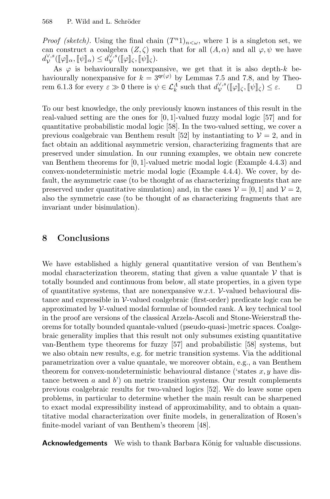*Proof (sketch)*. Using the final chain  $(T^{n_1})_{n<\omega}$ , where 1 is a singleton set, we can construct a coalgebra  $(Z, \zeta)$  such that for all  $(A, \alpha)$  and all  $\varphi, \psi$  we have  $d_{\mathcal{V}}^{\vee,s}(\llbracket \varphi \rrbracket_{\alpha},\llbracket \psi \rrbracket_{\alpha}) \leq d_{\mathcal{V}}^{\vee,s}(\llbracket \varphi \rrbracket_{\zeta},\llbracket \psi \rrbracket_{\zeta}).$ 

As  $\varphi$  is behaviourally nonexpansive, we get that it is also depth-k behaviourally nonexpansive for  $k = 3^{\mathsf{qr}(\varphi)}$  by Lemmas [7.5](#page-16-0) and [7.8,](#page-16-1) and by Theo-rem [6.1.](#page-12-2)[3](#page-13-4) for every  $\varepsilon \gg 0$  there is  $\psi \in \mathcal{L}_{k}^{A}$  such that  $d_{\mathcal{V}}^{\vee,s}(\llbracket \varphi \rrbracket_{\zeta}, \llbracket \psi \rrbracket_{\zeta}) \leq \varepsilon$ .

To our best knowledge, the only previously known instances of this result in the real-valued setting are the ones for  $[0, 1]$ -valued fuzzy modal logic  $[57]$  and for quantitative probabilistic modal logic [\[58\]](#page-20-4). In the two-valued setting, we cover a previous coalgebraic van Benthem result [\[52\]](#page-20-1) by instantiating to  $\mathcal{V} = 2$ , and in fact obtain an additional asymmetric version, characterizing fragments that are preserved under simulation. In our running examples, we obtain new concrete van Benthem theorems for [0, 1]-valued metric modal logic (Example [4.4.](#page-8-0)[3\)](#page-9-1) and convex-nondeterministic metric modal logic (Example [4.4.](#page-8-0)[4\)](#page-9-2). We cover, by default, the asymmetric case (to be thought of as characterizing fragments that are preserved under quantitative simulation) and, in the cases  $\mathcal{V} = [0, 1]$  and  $\mathcal{V} = 2$ , also the symmetric case (to be thought of as characterizing fragments that are invariant under bisimulation).

### 8 Conclusions

We have established a highly general quantitative version of van Benthem's modal characterization theorem, stating that given a value quantale  $\mathcal V$  that is totally bounded and continuous from below, all state properties, in a given type of quantitative systems, that are nonexpansive w.r.t.  $\mathcal{V}\text{-valued}$  behavioural distance and expressible in V-valued coalgebraic (first-order) predicate logic can be approximated by  $V$ -valued modal formulae of bounded rank. A key technical tool in the proof are versions of the classical Arzela-Ascoli and Stone-Weierstraß theorems for totally bounded quantale-valued (pseudo-quasi-)metric spaces. Coalgebraic generality implies that this result not only subsumes existing quantitative van-Benthem type theorems for fuzzy [\[57\]](#page-20-3) and probabilistic [\[58\]](#page-20-4) systems, but we also obtain new results, e.g. for metric transition systems. Via the additional parametrization over a value quantale, we moreover obtain, e.g., a van Benthem theorem for convex-nondeterministic behavioural distance ('states  $x, y$  have distance between  $a$  and  $b'$ ) on metric transition systems. Our result complements previous coalgebraic results for two-valued logics [\[52\]](#page-20-1). We do leave some open problems, in particular to determine whether the main result can be sharpened to exact modal expressibility instead of approximability, and to obtain a quantitative modal characterization over finite models, in generalization of Rosen's finite-model variant of van Benthem's theorem [\[48\]](#page-20-15).

**Acknowledgements** We wish to thank Barbara König for valuable discussions.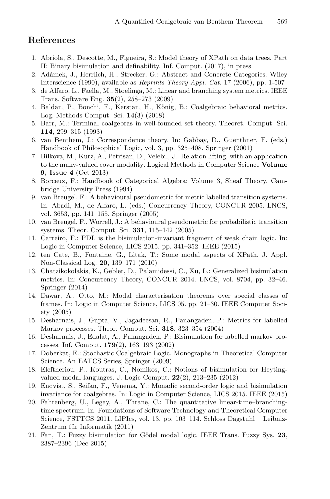### References

- <span id="page-18-1"></span>1. Abriola, S., Descotte, M., Figueira, S.: Model theory of XPath on data trees. Part II: Binary bisimulation and definability. Inf. Comput. (2017), in press
- <span id="page-18-15"></span>2. Adámek, J., Herrlich, H., Strecker, G.: Abstract and Concrete Categories. Wiley Interscience (1990), available as Reprints Theory Appl. Cat. 17 (2006), pp. 1-507
- <span id="page-18-5"></span>3. de Alfaro, L., Faella, M., Stoelinga, M.: Linear and branching system metrics. IEEE Trans. Software Eng. 35(2), 258–273 (2009)
- <span id="page-18-20"></span>4. Baldan, P., Bonchi, F., Kerstan, H., König, B.: Coalgebraic behavioral metrics. Log. Methods Comput. Sci. 14(3) (2018)
- <span id="page-18-17"></span>5. Barr, M.: Terminal coalgebras in well-founded set theory. Theoret. Comput. Sci. 114, 299–315 (1993)
- <span id="page-18-10"></span>6. van Benthem, J.: Correspondence theory. In: Gabbay, D., Guenthner, F. (eds.) Handbook of Philosophical Logic, vol. 3, pp. 325–408. Springer (2001)
- <span id="page-18-16"></span>7. Bilkova, M., Kurz, A., Petrisan, D., Velebil, J.: Relation lifting, with an application to the many-valued cover modality. Logical Methods in Computer Science Volume 9, Issue 4 (Oct 2013)
- <span id="page-18-18"></span>8. Borceux, F.: Handbook of Categorical Algebra: Volume 3, Sheaf Theory. Cambridge University Press (1994)
- <span id="page-18-19"></span>9. van Breugel, F.: A behavioural pseudometric for metric labelled transition systems. In: Abadi, M., de Alfaro, L. (eds.) Concurrency Theory, CONCUR 2005. LNCS, vol. 3653, pp. 141–155. Springer (2005)
- <span id="page-18-3"></span>10. van Breugel, F., Worrell, J.: A behavioural pseudometric for probabilistic transition systems. Theor. Comput. Sci. 331, 115–142 (2005)
- <span id="page-18-9"></span>11. Carreiro, F.: PDL is the bisimulation-invariant fragment of weak chain logic. In: Logic in Computer Science, LICS 2015. pp. 341–352. IEEE (2015)
- <span id="page-18-7"></span>12. ten Cate, B., Fontaine, G., Litak, T.: Some modal aspects of XPath. J. Appl. Non-Classical Log. 20, 139–171 (2010)
- <span id="page-18-4"></span>13. Chatzikokolakis, K., Gebler, D., Palamidessi, C., Xu, L.: Generalized bisimulation metrics. In: Concurrency Theory, CONCUR 2014. LNCS, vol. 8704, pp. 32–46. Springer (2014)
- <span id="page-18-0"></span>14. Dawar, A., Otto, M.: Modal characterisation theorems over special classes of frames. In: Logic in Computer Science, LICS 05. pp. 21–30. IEEE Computer Society (2005)
- <span id="page-18-2"></span>15. Desharnais, J., Gupta, V., Jagadeesan, R., Panangaden, P.: Metrics for labelled Markov processes. Theor. Comput. Sci. 318, 323–354 (2004)
- <span id="page-18-11"></span>16. Desharnais, J., Edalat, A., Panangaden, P.: Bisimulation for labelled markov processes. Inf. Comput. 179(2), 163–193 (2002)
- <span id="page-18-12"></span>17. Doberkat, E.: Stochastic Coalgebraic Logic. Monographs in Theoretical Computer Science. An EATCS Series, Springer (2009)
- <span id="page-18-14"></span>18. Eleftheriou, P., Koutras, C., Nomikos, C.: Notions of bisimulation for Heytingvalued modal languages. J. Logic Comput.  $22(2)$ ,  $213-235$   $(2012)$
- <span id="page-18-8"></span>19. Enqvist, S., Seifan, F., Venema, Y.: Monadic second-order logic and bisimulation invariance for coalgebras. In: Logic in Computer Science, LICS 2015. IEEE (2015)
- <span id="page-18-6"></span>20. Fahrenberg, U., Legay, A., Thrane, C.: The quantitative linear-time–branchingtime spectrum. In: Foundations of Software Technology and Theoretical Computer Science, FSTTCS 2011. LIPIcs, vol. 13, pp. 103–114. Schloss Dagstuhl – Leibniz-Zentrum für Informatik (2011)
- <span id="page-18-13"></span>21. Fan, T.: Fuzzy bisimulation for Gödel modal logic. IEEE Trans. Fuzzy Sys. 23, 2387–2396 (Dec 2015)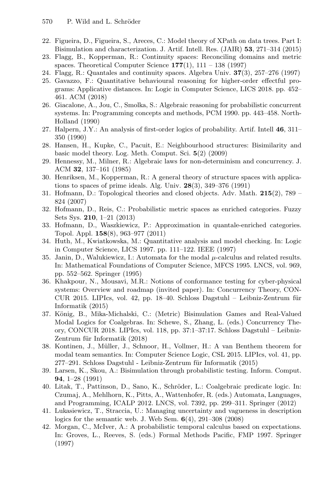- <span id="page-19-1"></span>22. Figueira, D., Figueira, S., Areces, C.: Model theory of XPath on data trees. Part I: Bisimulation and characterization. J. Artif. Intell. Res. (JAIR) 53, 271–314 (2015)
- <span id="page-19-20"></span>23. Flagg, B., Kopperman, R.: Continuity spaces: Reconciling domains and metric spaces. Theoretical Computer Science  $177(1)$ ,  $111 - 138$  (1997)
- <span id="page-19-5"></span>24. Flagg, R.: Quantales and continuity spaces. Algebra Univ. 37(3), 257–276 (1997)
- <span id="page-19-3"></span>25. Gavazzo, F.: Quantitative behavioural reasoning for higher-order effectful programs: Applicative distances. In: Logic in Computer Science, LICS 2018. pp. 452– 461. ACM (2018)
- <span id="page-19-2"></span>26. Giacalone, A., Jou, C., Smolka, S.: Algebraic reasoning for probabilistic concurrent systems. In: Programming concepts and methods, PCM 1990. pp. 443–458. North-Holland (1990)
- <span id="page-19-19"></span>27. Halpern, J.Y.: An analysis of first-order logics of probability. Artif. Intell 46, 311– 350 (1990)
- <span id="page-19-8"></span>28. Hansen, H., Kupke, C., Pacuit, E.: Neighbourhood structures: Bisimilarity and basic model theory. Log. Meth. Comput. Sci. 5(2) (2009)
- <span id="page-19-0"></span>29. Hennessy, M., Milner, R.: Algebraic laws for non-determinism and concurrency. J. ACM 32, 137–161 (1985)
- <span id="page-19-14"></span>30. Henriksen, M., Kopperman, R.: A general theory of structure spaces with applications to spaces of prime ideals. Alg. Univ. 28(3), 349–376 (1991)
- <span id="page-19-13"></span>31. Hofmann, D.: Topological theories and closed objects. Adv. Math. 215(2), 789 – 824 (2007)
- <span id="page-19-12"></span>32. Hofmann, D., Reis, C.: Probabilistic metric spaces as enriched categories. Fuzzy Sets Sys. 210, 1–21 (2013)
- <span id="page-19-6"></span>33. Hofmann, D., Waszkiewicz, P.: Approximation in quantale-enriched categories. Topol. Appl. 158(8), 963–977 (2011)
- <span id="page-19-17"></span>34. Huth, M., Kwiatkowska, M.: Quantitative analysis and model checking. In: Logic in Computer Science, LICS 1997. pp. 111–122. IEEE (1997)
- <span id="page-19-10"></span>35. Janin, D., Walukiewicz, I.: Automata for the modal  $\mu$ -calculus and related results. In: Mathematical Foundations of Computer Science, MFCS 1995. LNCS, vol. 969, pp. 552–562. Springer (1995)
- <span id="page-19-4"></span>36. Khakpour, N., Mousavi, M.R.: Notions of conformance testing for cyber-physical systems: Overview and roadmap (invited paper). In: Concurrency Theory, CON-CUR 2015. LIPIcs, vol. 42, pp. 18–40. Schloss Dagstuhl – Leibniz-Zentrum für Informatik (2015)
- <span id="page-19-7"></span>37. König, B., Mika-Michalski, C.: (Metric) Bisimulation Games and Real-Valued Modal Logics for Coalgebras. In: Schewe, S., Zhang, L. (eds.) Concurrency Theory, CONCUR 2018. LIPIcs, vol. 118, pp. 37:1–37:17. Schloss Dagstuhl – Leibniz-Zentrum für Informatik (2018)
- <span id="page-19-9"></span>38. Kontinen, J., M¨uller, J., Schnoor, H., Vollmer, H.: A van Benthem theorem for modal team semantics. In: Computer Science Logic, CSL 2015. LIPIcs, vol. 41, pp.  $277-291$ . Schloss Dagstuhl - Leibniz-Zentrum für Informatik (2015)
- <span id="page-19-11"></span>39. Larsen, K., Skou, A.: Bisimulation through probabilistic testing. Inform. Comput. 94, 1–28 (1991)
- <span id="page-19-16"></span>40. Litak, T., Pattinson, D., Sano, K., Schröder, L.: Coalgebraic predicate logic. In: Czumaj, A., Mehlhorn, K., Pitts, A., Wattenhofer, R. (eds.) Automata, Languages, and Programming, ICALP 2012. LNCS, vol. 7392, pp. 299–311. Springer (2012)
- <span id="page-19-15"></span>41. Lukasiewicz, T., Straccia, U.: Managing uncertainty and vagueness in description logics for the semantic web. J. Web Sem. 6(4), 291–308 (2008)
- <span id="page-19-18"></span>42. Morgan, C., McIver, A.: A probabilistic temporal calculus based on expectations. In: Groves, L., Reeves, S. (eds.) Formal Methods Pacific, FMP 1997. Springer (1997)